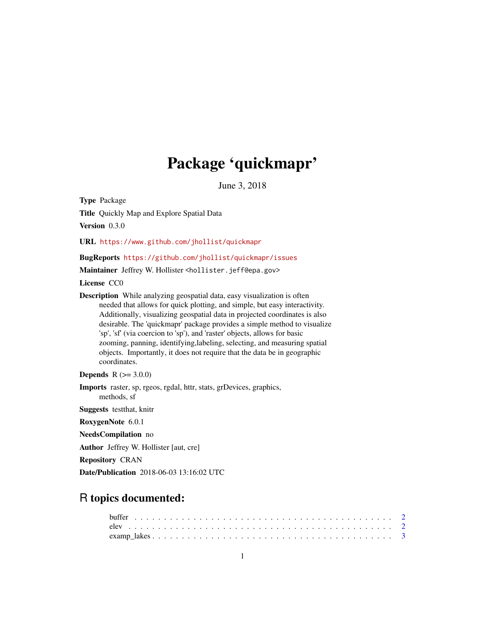## Package 'quickmapr'

June 3, 2018

<span id="page-0-0"></span>Type Package

Title Quickly Map and Explore Spatial Data

Version 0.3.0

URL <https://www.github.com/jhollist/quickmapr>

BugReports <https://github.com/jhollist/quickmapr/issues>

Maintainer Jeffrey W. Hollister <hollister.jeff@epa.gov>

License CC0

Description While analyzing geospatial data, easy visualization is often needed that allows for quick plotting, and simple, but easy interactivity. Additionally, visualizing geospatial data in projected coordinates is also desirable. The 'quickmapr' package provides a simple method to visualize 'sp', 'sf' (via coercion to 'sp'), and 'raster' objects, allows for basic zooming, panning, identifying,labeling, selecting, and measuring spatial objects. Importantly, it does not require that the data be in geographic coordinates.

**Depends**  $R (= 3.0.0)$ 

Imports raster, sp, rgeos, rgdal, httr, stats, grDevices, graphics, methods, sf

Suggests testthat, knitr

RoxygenNote 6.0.1

NeedsCompilation no

Author Jeffrey W. Hollister [aut, cre]

Repository CRAN

Date/Publication 2018-06-03 13:16:02 UTC

### R topics documented: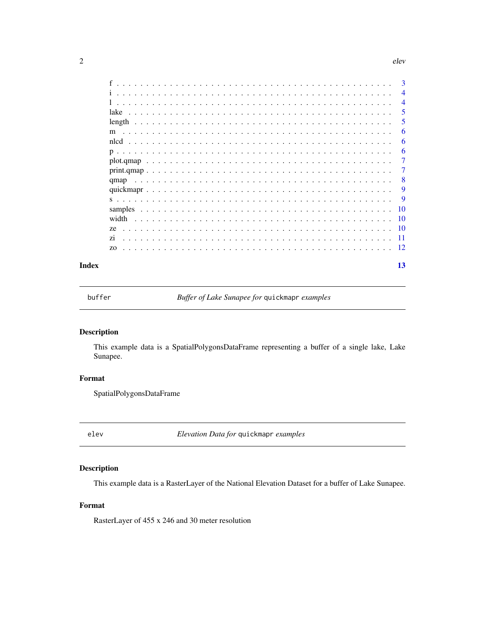#### <span id="page-1-0"></span> $2<sup>2</sup>$

|       |         |  |  |  |  |  |  |  |  |  |  |  |  |  |  |  |  |  |  |  |  | 3              |
|-------|---------|--|--|--|--|--|--|--|--|--|--|--|--|--|--|--|--|--|--|--|--|----------------|
|       |         |  |  |  |  |  |  |  |  |  |  |  |  |  |  |  |  |  |  |  |  | $\overline{4}$ |
|       |         |  |  |  |  |  |  |  |  |  |  |  |  |  |  |  |  |  |  |  |  | $\overline{4}$ |
|       | lake    |  |  |  |  |  |  |  |  |  |  |  |  |  |  |  |  |  |  |  |  | 5              |
|       |         |  |  |  |  |  |  |  |  |  |  |  |  |  |  |  |  |  |  |  |  | 5              |
|       |         |  |  |  |  |  |  |  |  |  |  |  |  |  |  |  |  |  |  |  |  | 6              |
|       | nlcd    |  |  |  |  |  |  |  |  |  |  |  |  |  |  |  |  |  |  |  |  | 6              |
|       |         |  |  |  |  |  |  |  |  |  |  |  |  |  |  |  |  |  |  |  |  | 6              |
|       |         |  |  |  |  |  |  |  |  |  |  |  |  |  |  |  |  |  |  |  |  | 7              |
|       |         |  |  |  |  |  |  |  |  |  |  |  |  |  |  |  |  |  |  |  |  | 7              |
|       | qmap    |  |  |  |  |  |  |  |  |  |  |  |  |  |  |  |  |  |  |  |  | 8              |
|       |         |  |  |  |  |  |  |  |  |  |  |  |  |  |  |  |  |  |  |  |  | 9              |
|       |         |  |  |  |  |  |  |  |  |  |  |  |  |  |  |  |  |  |  |  |  | 9              |
|       | samples |  |  |  |  |  |  |  |  |  |  |  |  |  |  |  |  |  |  |  |  | 10             |
|       | width   |  |  |  |  |  |  |  |  |  |  |  |  |  |  |  |  |  |  |  |  | 10             |
|       | ze      |  |  |  |  |  |  |  |  |  |  |  |  |  |  |  |  |  |  |  |  | -10            |
|       | 71      |  |  |  |  |  |  |  |  |  |  |  |  |  |  |  |  |  |  |  |  | -11            |
|       | ZO.     |  |  |  |  |  |  |  |  |  |  |  |  |  |  |  |  |  |  |  |  | -12            |
| Index |         |  |  |  |  |  |  |  |  |  |  |  |  |  |  |  |  |  |  |  |  | 13             |

buffer *Buffer of Lake Sunapee for* quickmapr *examples*

### Description

This example data is a SpatialPolygonsDataFrame representing a buffer of a single lake, Lake Sunapee.

#### Format

SpatialPolygonsDataFrame

elev *Elevation Data for* quickmapr *examples*

#### Description

This example data is a RasterLayer of the National Elevation Dataset for a buffer of Lake Sunapee.

#### Format

RasterLayer of 455 x 246 and 30 meter resolution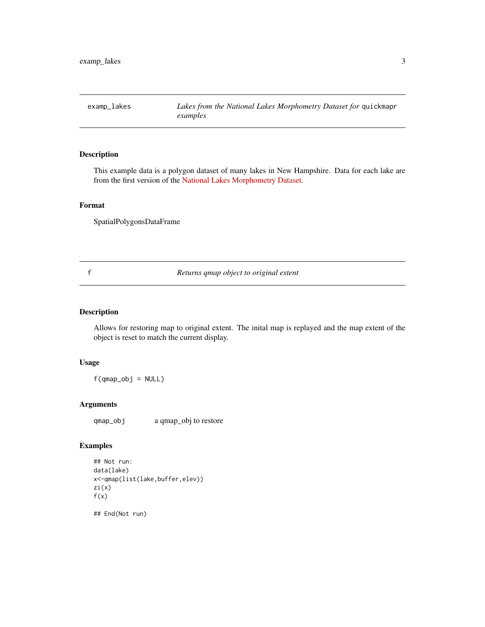<span id="page-2-0"></span>examp\_lakes *Lakes from the National Lakes Morphometry Dataset for* quickmapr *examples*

#### Description

This example data is a polygon dataset of many lakes in New Hampshire. Data for each lake are from the first version of the [National Lakes Morphometry Dataset.](https://edg.epa.gov/metadata/catalog/search/resource/details.page?uuid=%7B7DF16BCC-F72D-422F-B5CE-4886AAC6109C%7D)

#### Format

SpatialPolygonsDataFrame

f *Returns qmap object to original extent*

#### Description

Allows for restoring map to original extent. The inital map is replayed and the map extent of the object is reset to match the current display.

#### Usage

 $f(qmap\_obj = NULL)$ 

#### Arguments

qmap\_obj a qmap\_obj to restore

#### Examples

```
## Not run:
data(lake)
x<-qmap(list(lake,buffer,elev))
zi(x)
f(x)
```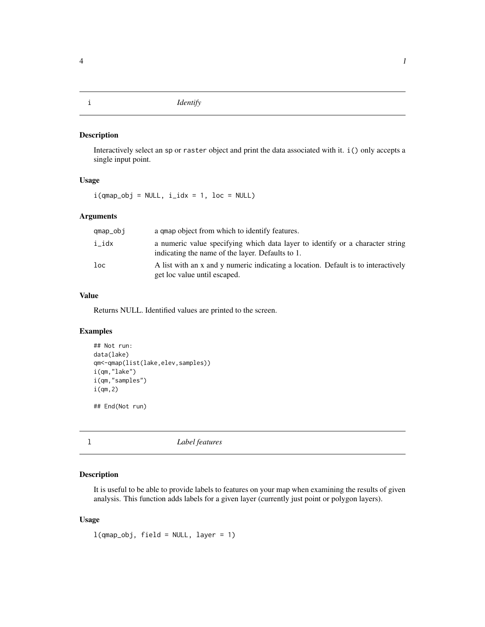<span id="page-3-0"></span>Interactively select an sp or raster object and print the data associated with it. i() only accepts a single input point.

#### Usage

 $i(qmap\_obj = NULL, i\_idx = 1, loc = NULL)$ 

#### Arguments

| qmap_obj | a gmap object from which to identify features.                                                                                    |
|----------|-----------------------------------------------------------------------------------------------------------------------------------|
| i_idx    | a numeric value specifying which data layer to identify or a character string<br>indicating the name of the layer. Defaults to 1. |
| loc      | A list with an x and y numeric indicating a location. Default is to interactively<br>get loc value until escaped.                 |

#### Value

Returns NULL. Identified values are printed to the screen.

#### Examples

```
## Not run:
data(lake)
qm<-qmap(list(lake,elev,samples))
i(qm,"lake")
i(qm,"samples")
i(qm,2)
## End(Not run)
```
l *Label features*

#### Description

It is useful to be able to provide labels to features on your map when examining the results of given analysis. This function adds labels for a given layer (currently just point or polygon layers).

#### Usage

l(qmap\_obj, field = NULL, layer = 1)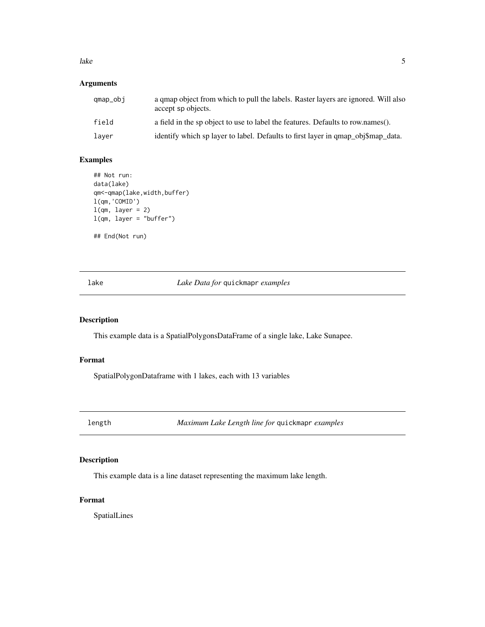#### <span id="page-4-0"></span>lake 5

#### Arguments

| qmap_obj | a qmap object from which to pull the labels. Raster layers are ignored. Will also<br>accept sp objects. |
|----------|---------------------------------------------------------------------------------------------------------|
| field    | a field in the sp object to use to label the features. Defaults to row names().                         |
| laver    | identify which sp layer to label. Defaults to first layer in qmap_obj\$map_data.                        |

#### Examples

```
## Not run:
data(lake)
qm<-qmap(lake,width,buffer)
l(qm,'COMID')
l(qm, layer = 2)l(qm, \text{ layer} = "buffer")## End(Not run)
```
lake *Lake Data for* quickmapr *examples*

#### Description

This example data is a SpatialPolygonsDataFrame of a single lake, Lake Sunapee.

#### Format

SpatialPolygonDataframe with 1 lakes, each with 13 variables

length *Maximum Lake Length line for* quickmapr *examples*

#### Description

This example data is a line dataset representing the maximum lake length.

#### Format

SpatialLines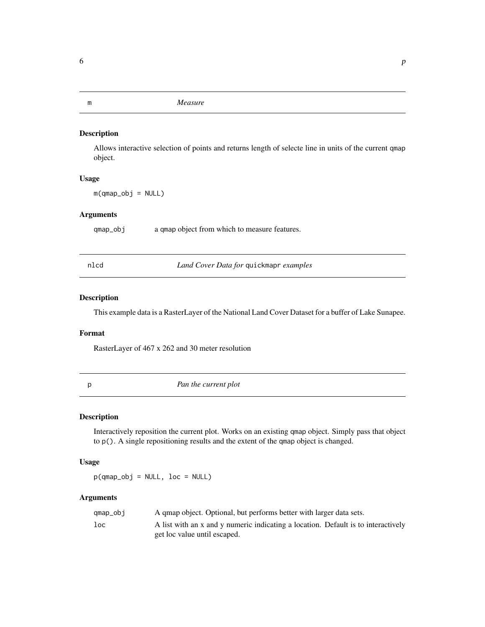<span id="page-5-0"></span>Allows interactive selection of points and returns length of selecte line in units of the current qmap object.

#### Usage

m(qmap\_obj = NULL)

#### Arguments

qmap\_obj a qmap object from which to measure features.

Land Cover Data for quickmapr examples

#### Description

This example data is a RasterLayer of the National Land Cover Dataset for a buffer of Lake Sunapee.

#### Format

RasterLayer of 467 x 262 and 30 meter resolution

p *Pan the current plot*

#### Description

Interactively reposition the current plot. Works on an existing qmap object. Simply pass that object to p(). A single repositioning results and the extent of the qmap object is changed.

#### Usage

p(qmap\_obj = NULL, loc = NULL)

#### Arguments

| qmap_obj | A gmap object. Optional, but performs better with larger data sets.               |
|----------|-----------------------------------------------------------------------------------|
| $1$ oc   | A list with an x and y numeric indicating a location. Default is to interactively |
|          | get loc value until escaped.                                                      |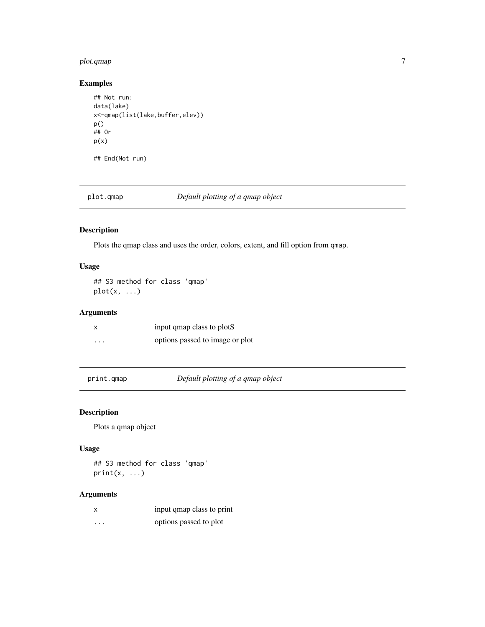#### <span id="page-6-0"></span>plot.qmap 7 and 2008 and 2008 and 2008 and 2008 and 2008 and 2008 and 2008 and 2008 and 2008 and 2008 and 2008

#### Examples

```
## Not run:
data(lake)
x<-qmap(list(lake,buffer,elev))
p()
## Or
p(x)
## End(Not run)
```
plot.qmap *Default plotting of a qmap object*

#### Description

Plots the qmap class and uses the order, colors, extent, and fill option from qmap.

### Usage

```
## S3 method for class 'qmap'
plot(x, \ldots)
```
#### Arguments

|          | input qmap class to plotS       |
|----------|---------------------------------|
| $\cdots$ | options passed to image or plot |

print.qmap *Default plotting of a qmap object*

#### Description

Plots a qmap object

#### Usage

## S3 method for class 'qmap'  $print(x, \ldots)$ 

#### Arguments

|   | input qmap class to print |
|---|---------------------------|
| . | options passed to plot    |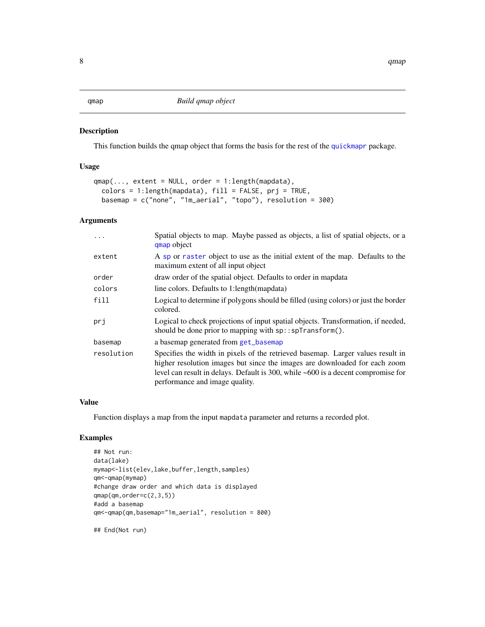<span id="page-7-1"></span><span id="page-7-0"></span>qmap *Build qmap object*

#### Description

This function builds the qmap object that forms the basis for the rest of the [quickmapr](#page-8-1) package.

#### Usage

```
qmap(..., extent = NULL, order = 1:length(mapdata),colors = 1:length(mapdata), fill = FALSE, prj = TRUE,
 basemap = c("none", "1m_aerial", "topo"), resolution = 300)
```
#### Arguments

|            | Spatial objects to map. Maybe passed as objects, a list of spatial objects, or a<br>qmap object                                                                                                                                                                                            |
|------------|--------------------------------------------------------------------------------------------------------------------------------------------------------------------------------------------------------------------------------------------------------------------------------------------|
| extent     | A sp or raster object to use as the initial extent of the map. Defaults to the<br>maximum extent of all input object                                                                                                                                                                       |
| order      | draw order of the spatial object. Defaults to order in mapdata                                                                                                                                                                                                                             |
| colors     | line colors. Defaults to 1:length (mapdata)                                                                                                                                                                                                                                                |
| fill       | Logical to determine if polygons should be filled (using colors) or just the border<br>colored.                                                                                                                                                                                            |
| prj        | Logical to check projections of input spatial objects. Transformation, if needed,<br>should be done prior to mapping with $sp::spTransform()$ .                                                                                                                                            |
| basemap    | a basemap generated from get_basemap                                                                                                                                                                                                                                                       |
| resolution | Specifies the width in pixels of the retrieved basemap. Larger values result in<br>higher resolution images but since the images are downloaded for each zoom<br>level can result in delays. Default is 300, while $\sim 600$ is a decent compromise for<br>performance and image quality. |

#### Value

Function displays a map from the input mapdata parameter and returns a recorded plot.

#### Examples

```
## Not run:
data(lake)
mymap<-list(elev,lake,buffer,length,samples)
qm<-qmap(mymap)
#change draw order and which data is displayed
qmap(qm,order=c(2,3,5))
#add a basemap
qm<-qmap(qm,basemap="1m_aerial", resolution = 800)
```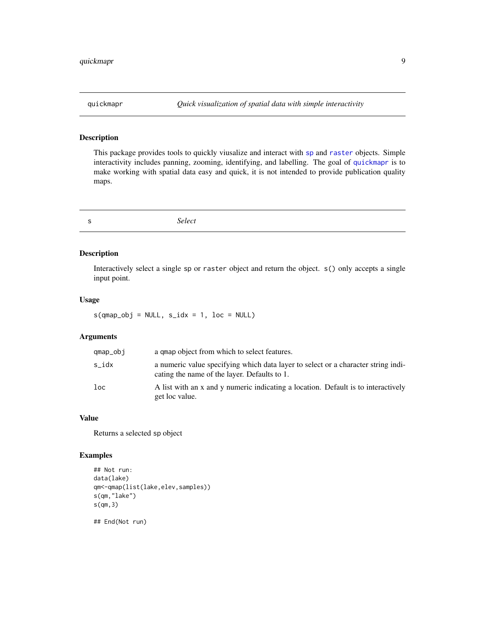<span id="page-8-1"></span><span id="page-8-0"></span>

This package provides tools to quickly viusalize and interact with [sp](#page-0-0) and [raster](#page-0-0) objects. Simple interactivity includes panning, zooming, identifying, and labelling. The goal of [quickmapr](#page-8-1) is to make working with spatial data easy and quick, it is not intended to provide publication quality maps.

s *Select*

#### Description

Interactively select a single sp or raster object and return the object. s() only accepts a single input point.

#### Usage

 $s$ (qmap\_obj = NULL,  $s$ \_idx = 1, loc = NULL)

#### Arguments

| qmap_obj | a quap object from which to select features.                                                                                      |
|----------|-----------------------------------------------------------------------------------------------------------------------------------|
| s_idx    | a numeric value specifying which data layer to select or a character string indi-<br>cating the name of the layer. Defaults to 1. |
| loc      | A list with an x and y numeric indicating a location. Default is to interactively<br>get loc value.                               |

#### Value

Returns a selected sp object

#### Examples

```
## Not run:
data(lake)
qm<-qmap(list(lake,elev,samples))
s(qm,"lake")
s(qm,3)
```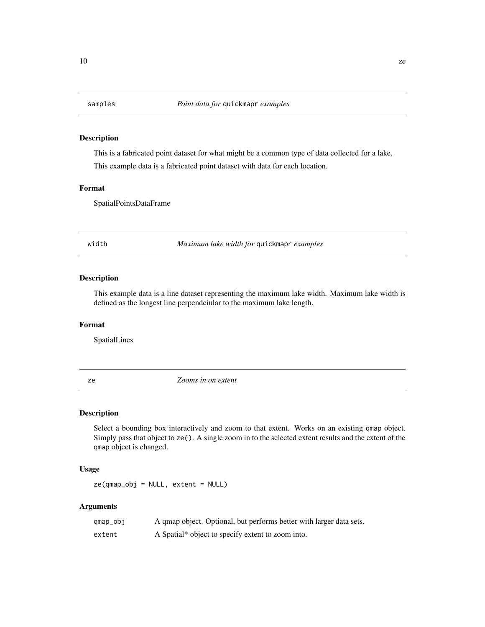<span id="page-9-0"></span>This is a fabricated point dataset for what might be a common type of data collected for a lake. This example data is a fabricated point dataset with data for each location.

#### Format

SpatialPointsDataFrame

width *Maximum lake width for* quickmapr *examples*

#### Description

This example data is a line dataset representing the maximum lake width. Maximum lake width is defined as the longest line perpendciular to the maximum lake length.

#### Format

SpatialLines

ze *Zooms in on extent*

#### Description

Select a bounding box interactively and zoom to that extent. Works on an existing qmap object. Simply pass that object to ze(). A single zoom in to the selected extent results and the extent of the qmap object is changed.

#### Usage

ze(qmap\_obj = NULL, extent = NULL)

#### Arguments

| qmap_obj | A qmap object. Optional, but performs better with larger data sets. |
|----------|---------------------------------------------------------------------|
| extent   | A Spatial* object to specify extent to zoom into.                   |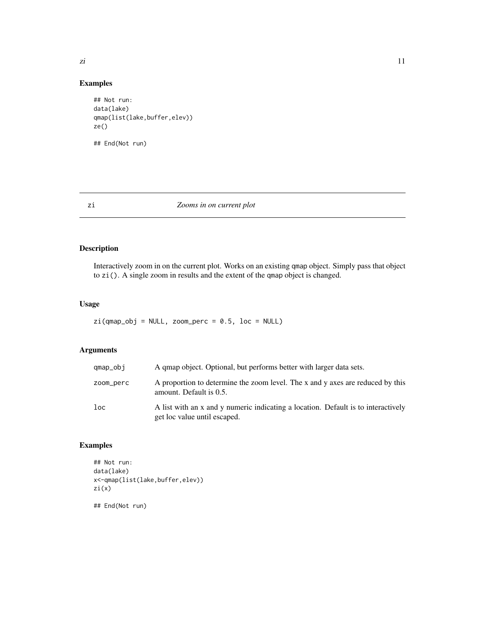<span id="page-10-0"></span>

#### Examples

```
## Not run:
data(lake)
qmap(list(lake,buffer,elev))
ze()
## End(Not run)
```
#### zi *Zooms in on current plot*

#### Description

Interactively zoom in on the current plot. Works on an existing qmap object. Simply pass that object to zi(). A single zoom in results and the extent of the qmap object is changed.

#### Usage

 $zi(qmap\_obj = NULL, zoom\_perc = 0.5, loc = NULL)$ 

#### Arguments

| qmap_obj  | A gmap object. Optional, but performs better with larger data sets.                                               |
|-----------|-------------------------------------------------------------------------------------------------------------------|
| zoom_perc | A proportion to determine the zoom level. The x and y axes are reduced by this<br>amount. Default is 0.5.         |
| loc       | A list with an x and y numeric indicating a location. Default is to interactively<br>get loc value until escaped. |

#### Examples

```
## Not run:
data(lake)
x<-qmap(list(lake,buffer,elev))
zi(x)
## End(Not run)
```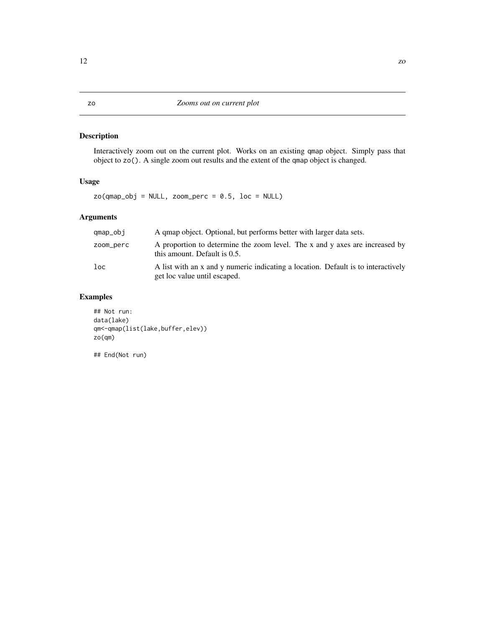<span id="page-11-0"></span>Interactively zoom out on the current plot. Works on an existing qmap object. Simply pass that object to zo(). A single zoom out results and the extent of the qmap object is changed.

#### Usage

 $zo(qmap\_obj = NULL, zoom\_perc = 0.5, loc = NULL)$ 

#### Arguments

| qmap_obj  | A qmap object. Optional, but performs better with larger data sets.                                               |
|-----------|-------------------------------------------------------------------------------------------------------------------|
| zoom_perc | A proportion to determine the zoom level. The x and y axes are increased by<br>this amount. Default is 0.5.       |
| loc       | A list with an x and y numeric indicating a location. Default is to interactively<br>get loc value until escaped. |

### Examples

```
## Not run:
data(lake)
qm<-qmap(list(lake,buffer,elev))
zo(qm)
```